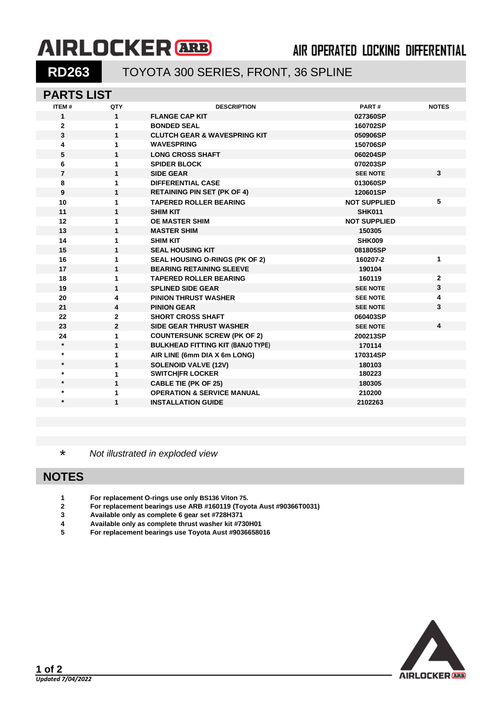# **AIRLOCKER** ARB

## **AIR OPERATED LOCKING DIFFERENTIAL**

## **RD263** TOYOTA 300 SERIES, FRONT, 36 SPLINE

## **PARTS LIST**

| ITEM#          | QTY          | <b>DESCRIPTION</b>                       | PART#               | <b>NOTES</b>            |
|----------------|--------------|------------------------------------------|---------------------|-------------------------|
| $\mathbf 1$    | $\mathbf{1}$ | <b>FLANGE CAP KIT</b>                    | 027360SP            |                         |
| $\overline{2}$ | 1            | <b>BONDED SEAL</b>                       | 160702SP            |                         |
| $\mathbf{3}$   | $\mathbf{1}$ | <b>CLUTCH GEAR &amp; WAVESPRING KIT</b>  | 050906SP            |                         |
| 4              | 1            | <b>WAVESPRING</b>                        | 150706SP            |                         |
| 5              | 1            | <b>LONG CROSS SHAFT</b>                  | 060204SP            |                         |
| 6              | 1            | <b>SPIDER BLOCK</b>                      | 070203SP            |                         |
| $\overline{7}$ | 1            | <b>SIDE GEAR</b>                         | <b>SEE NOTE</b>     | $\mathbf{3}$            |
| 8              | 1            | <b>DIFFERENTIAL CASE</b>                 | 013060SP            |                         |
| 9              | 1            | <b>RETAINING PIN SET (PK OF 4)</b>       | 120601SP            |                         |
| 10             | 1            | <b>TAPERED ROLLER BEARING</b>            | <b>NOT SUPPLIED</b> | 5                       |
| 11             | 1            | <b>SHIM KIT</b>                          | <b>SHK011</b>       |                         |
| 12             | 1            | <b>OE MASTER SHIM</b>                    | <b>NOT SUPPLIED</b> |                         |
| 13             | 1            | <b>MASTER SHIM</b>                       | 150305              |                         |
| 14             | 1            | <b>SHIM KIT</b>                          | <b>SHK009</b>       |                         |
| 15             | $\mathbf{1}$ | <b>SEAL HOUSING KIT</b>                  | 081805SP            |                         |
| 16             | 1            | <b>SEAL HOUSING O-RINGS (PK OF 2)</b>    | 160207-2            | 1                       |
| 17             | 1            | <b>BEARING RETAINING SLEEVE</b>          | 190104              |                         |
| 18             | 1            | <b>TAPERED ROLLER BEARING</b>            | 160119              | $\mathbf{2}$            |
| 19             | 1            | <b>SPLINED SIDE GEAR</b>                 | <b>SEE NOTE</b>     | 3                       |
| 20             | 4            | <b>PINION THRUST WASHER</b>              | <b>SEE NOTE</b>     | 4                       |
| 21             | 4            | <b>PINION GEAR</b>                       | <b>SEE NOTE</b>     | 3                       |
| 22             | $\mathbf{2}$ | <b>SHORT CROSS SHAFT</b>                 | 060403SP            |                         |
| 23             | $\mathbf{2}$ | <b>SIDE GEAR THRUST WASHER</b>           | <b>SEE NOTE</b>     | $\overline{\mathbf{4}}$ |
| 24             | 1            | <b>COUNTERSUNK SCREW (PK OF 2)</b>       | 200213SP            |                         |
| $\star$        | 1            | <b>BULKHEAD FITTING KIT (BANJO TYPE)</b> | 170114              |                         |
| $\star$        | 1            | AIR LINE (6mm DIA X 6m LONG)             | 170314SP            |                         |
| $\star$        | 1            | <b>SOLENOID VALVE (12V)</b>              | 180103              |                         |
| $\star$        | 1            | <b>SWITCH FR LOCKER</b>                  | 180223              |                         |
| $\star$        | 1            | <b>CABLE TIE (PK OF 25)</b>              | 180305              |                         |
| $^\ast$        | 1            | <b>OPERATION &amp; SERVICE MANUAL</b>    | 210200              |                         |
| $\star$        | 1            | <b>INSTALLATION GUIDE</b>                | 2102263             |                         |
|                |              |                                          |                     |                         |

\* *Not illustrated in exploded view*

#### **NOTES**

- **For replacement O-rings use only BS136 Viton 75.**
- **For replacement bearings use ARB #160119 (Toyota Aust #90366T0031)**
- **Available only as complete 6 gear set #728H371**
- **Available only as complete thrust washer kit #730H01**
- **For replacement bearings use Toyota Aust #9036658016**